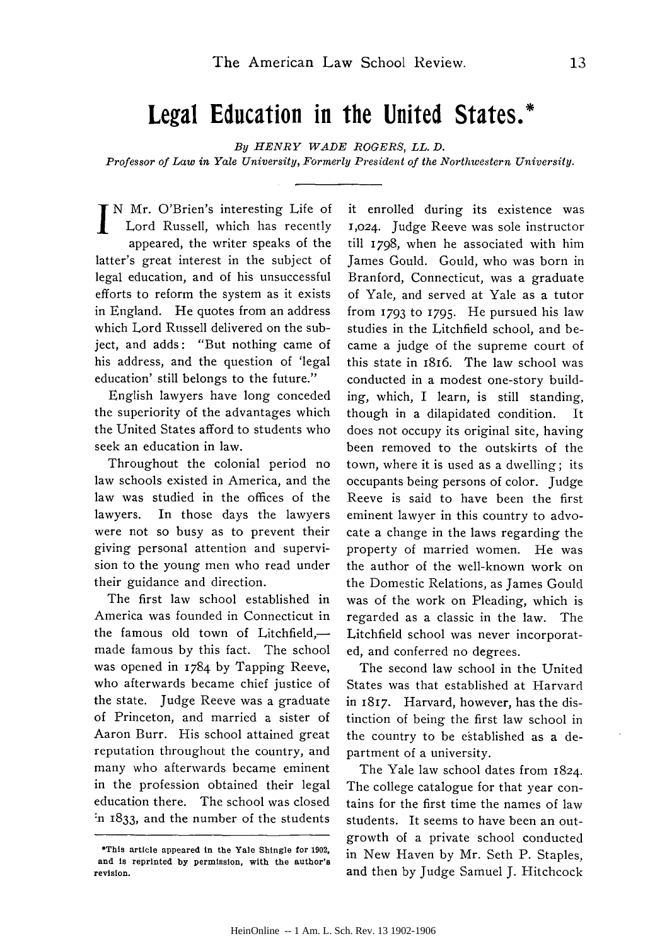## **Legal Education in the United States.\***

*By HENRY WADE ROGERS, LL. D.*

*Professor of Law in Yale University, Formerly President of the Northwestern University.*

IN Mr. O'Brien's interesting Life of Lord Russell, which has recently appeared, the writer speaks of the latter's great interest in the subject of legal education, and of his unsuccessful efforts to reform the system as it exists in England. He quotes from an address which Lord Russell delivered on the subject, and adds: "But nothing came of his address, and the question of 'legal education' still belongs to the future."

English lawyers have long conceded the superiority of the advantages which the United States afford to students who seek an education in law.

Throughout the colonial period no law schools existed in America, and the law was studied in the offices of the lawyers. In those days the lawyers were not so busy as to prevent their giving personal attention and supervision to the young men who read under their guidance and direction.

The first law school established in America was founded in Connecticut in the famous old town of Litchfield,made famous by this fact. The school was opened in 1784 by Tapping Reeve, who afterwards became chief justice of the state. Judge Reeve was a graduate of Princeton, and married a sister of Aaron Burr. His school attained great reputation throughout the country, and many who afterwards became eminent in the profession obtained their legal education there. The school was closed :n 1833, and the number of the students

it enrolled during its existence was 1,024. Judge Reeve was sole instructor till 1798, when he associated with him James Gould. Gould, who was born in Branford, Connecticut, was a graduate of Yale, and served at Yale as a tutor from **1793** to **1795.** He pursued his law studies in the Litchfield school, and became a judge of the supreme court of this state in 1816. The law school was conducted in a modest one-story building, which, I learn, is still standing, though in a dilapidated condition. It does not occupy its original site, having been removed to the outskirts of the town, where it is used as a dwelling; its occupants being persons of color. Judge Reeve is said to have been the first eminent lawyer in this country to advocate a change in the laws regarding the property of married women. He was the author of the well-known work on the Domestic Relations, as James Gould was of the work on Pleading, which is regarded as a classic in the law. The Litchfield school was never incorporated, and conferred no degrees.

The second law school in the United States was that established at Harvard in 1817. Harvard, however, has the distinction of being the first law school in the country to be established as a department of a university.

The Yale law school dates from 1824. The college catalogue for that year contains for the first time the names of law students. It seems to have been an outgrowth of a private school conducted in New Haven **by** Mr. Seth P. Staples, and then **by** Judge Samuel J. Hitchcock

**<sup>\*</sup>This article appeared in the Yale Shingle for 1902, and is reprinted by permission, with the author's revision.**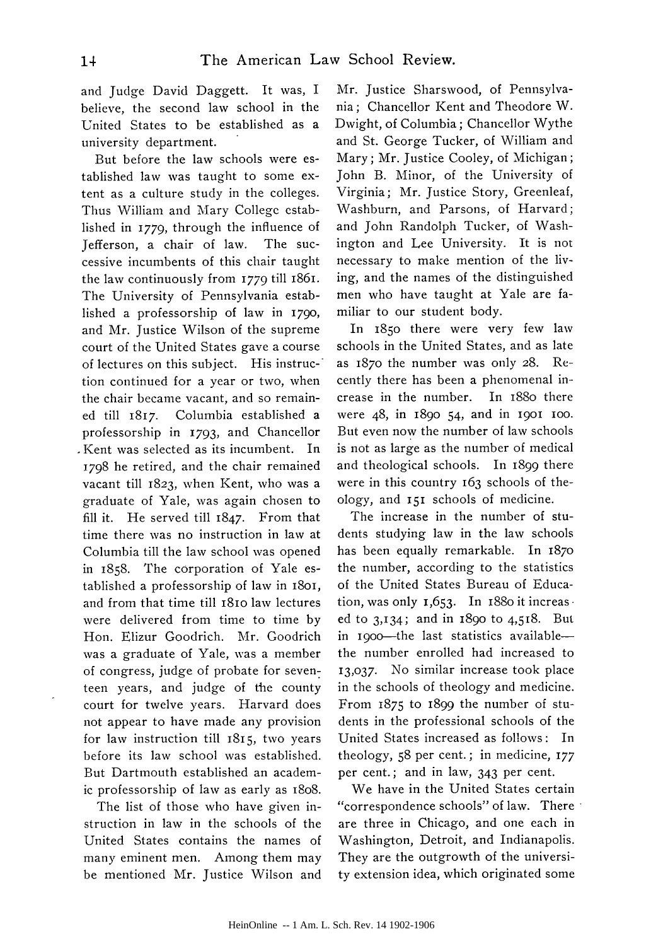and Judge David Daggett. It was, I believe, the second law school in the United States to be established as a university department.

But before the law schools were established law was taught to some extent as a culture study in the colleges. Thus William and Mary College established in **1779,** through the influence of Jefferson, a chair of law. The successive incumbents of this chair taught the law continuously from 1779 till 1861. The University of Pennsylvania established a professorship of law in **1790,** and Mr. Justice Wilson of the supreme court of the United States gave a course of lectures on this subject. His instruction continued for a year or two, when the chair became vacant, and so remained till 1817. Columbia established a professorship in **1793,** and Chancellor .Kent was selected as its incumbent. In **1798** he retired, and the chair remained vacant till 1823, when Kent, who was a graduate of Yale, was again chosen to fill it. He served till 1847. From that time there was no instruction in law at Columbia till the law school was opened in 1858. The corporation of Yale established a professorship of law in 1801, and from that time till i8io law lectures were delivered from time to time **by** Hon. Elizur Goodrich. Mr. Goodrich was a graduate of Yale, was a member of congress, judge of probate for seventeen years, and judge of the county court for twelve years. Harvard does not appear to have made any provision for law instruction till 1815, two years before its law school was established. But Dartmouth established an academic professorship of law as early as i8o8.

The list of those who have given instruction in law in the schools of the United States contains the names of many eminent men. Among them may be mentioned Mr. Justice Wilson and

Mr. Justice Sharswood, of Pennsylvania; Chancellor Kent and Theodore W. Dwight, of Columbia; Chancellor Wythe and St. George Tucker, of William and Mary; Mr. Justice Cooley, of Michigan; John B. Minor, of the University of Virginia; Mr. Justice Story, Greenleaf, Washburn, and Parsons, of Harvard; and John Randolph Tucker, of Washington and Lee University. It is not necessary to make mention of the living, and the names of the distinguished men who have taught at Yale are familiar to our student body.

In **1850** there were very few law schools in the United States, and as late as 187o the number was only 28. Recently there has been a phenomenal increase in the number. In i88o there were 48, in 1890 54, and in I9OI IOO. But even now the number of law schools is not as large as the number of medical and theological schools. In 1899 there were in this country 163 schools of theology, and 151 schools of medicine.

The increase in the number of students studying law in the law schools has been equally remarkable. In 187o the number, according to the statistics of the United States Bureau of Education, was only  $1,653$ . In 1880 it increas. ed to 3,134; and in 1890 to 4,518. But in 1900-the last statistics availablethe number enrolled had increased to *13,037.* No similar increase took place in the schools of theology and medicine. From 1875 to 1899 the number of students in the professional schools of the United States increased as follows: In theology, **58** per cent.; in medicine, 177 per cent.; and in law, 343 per cent.

We have in the United States certain "correspondence schools" of law. There are three in Chicago, and one each in Washington, Detroit, and Indianapolis. They are the outgrowth of the university extension idea, which originated some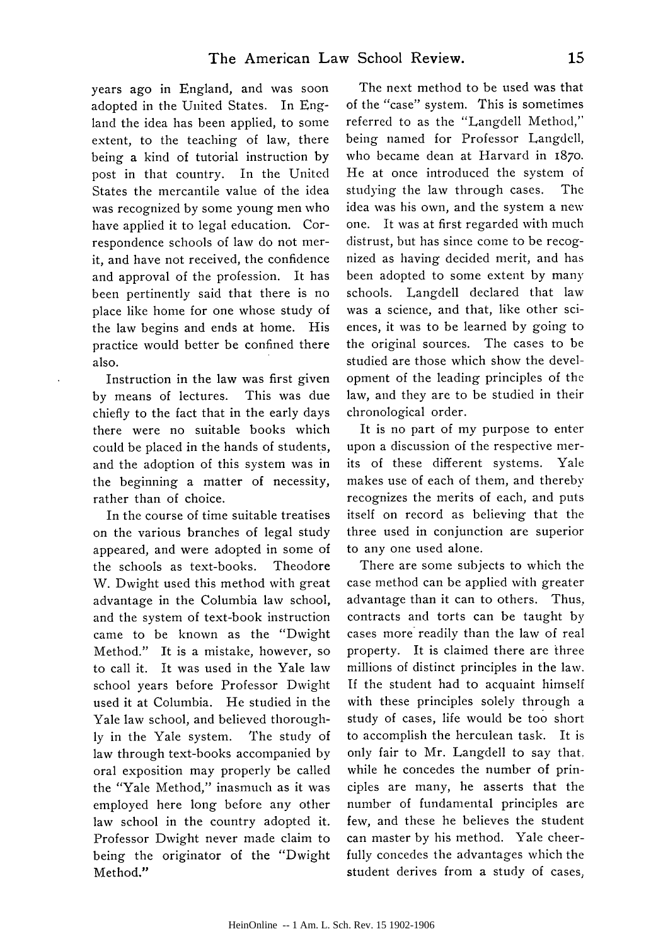years ago in England, and was soon adopted in the United States. In England the idea has been applied, to some extent, to the teaching of law, there being a kind of tutorial instruction by post in that country. In the United States the mercantile value of the idea was recognized by some young men who have applied it to legal education. Correspondence schools of law do not merit, and have not received, the confidence and approval of the profession. It has been pertinently said that there is no place like home for one whose study of the law begins and ends at home. His practice would better be confined there also.

Instruction in the law was first given by means of lectures. This was due chiefly to the fact that in the early days there were no suitable books which could be placed in the hands of students, and the adoption of this system was in the beginning a matter of necessity, rather than of choice.

In the course of time suitable treatises on the various branches of legal study appeared, and were adopted in some of the schools as text-books. Theodore W. Dwight used this method with great advantage in the Columbia law school, and the system of text-book instruction came to be known as the "Dwight Method." It is a mistake, however, so to call it. It was used in the Yale law school years before Professor Dwight used it at Columbia. He studied in the Yale law school, and believed thoroughly in the Yale system. The study of law through text-books accompanied by oral exposition may properly be called the "Yale Method," inasmuch as it was employed here long before any other law school in the country adopted it. Professor Dwight never made claim to being the originator of the "Dwight Method."

The next method to be used was that of the "case" system. This is sometimes referred to as the "Langdell Method," being named for Professor Langdell, who became dean at Harvard in **1870.** He at once introduced the system of studying the law through cases. The idea was his own, and the system a new one. It was at first regarded with much distrust, but has since come to be recognized as having decided merit, and has been adopted to some extent by many schools. Langdell declared that law was a science, and that, like other sciences, it was to be learned by going to the original sources. The cases to be studied are those which show the development of the leading principles of the law, and they are to be studied in their chronological order.

It is no part of my purpose to enter upon a discussion of the respective merits of these different systems. Yale makes use of each of them, and thereby recognizes the merits of each, and puts itself on record as believing that the three used in conjunction are superior to any one used alone.

There are some subjects to which the case method can be applied with greater advantage than it can to others. Thus, contracts and torts can be taught by cases more readily than the law of real property. It is claimed there are three millions of distinct principles in the law. If the student had to acquaint himself with these principles solely through a study of cases, life would be too short to accomplish the herculean task. It is only fair to Mr. Langdell to say that. while he concedes the number of principles are many, he asserts that the number of fundamental principles are few, and these he believes the student can master by his method. Yale cheerfully concedes the advantages which the student derives from a study of cases,